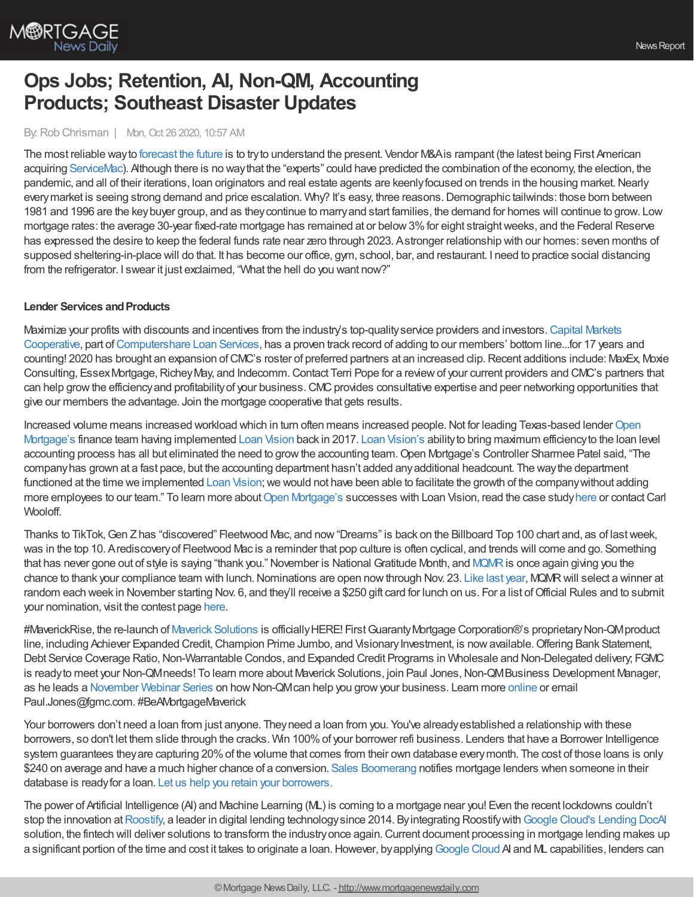

# **Ops Jobs; Retention, AI, Non-QM, Accounting Products; Southeast Disaster Updates**

#### By: Rob Chrisman | Mon, Oct 26 2020, 10:57 AM

The most reliable wayto [forecast](https://www.stratmorgroup.com/do-lenders-care-about-forecasts-or-predictions/) the future is to tryto understand the present. Vendor M&Ais rampant (the latest being First American acquiring [ServiceMac](https://www.servicemacusa.com/)). Although there is no waythat the "experts" could have predicted the combination of the economy, the election, the pandemic, and all of their iterations, loan originators and real estate agents are keenly focused on trends in the housing market. Nearly everymarket is seeing strong demand and price escalation. Why? It's easy, three reasons.Demographic tailwinds: those born between 1981 and 1996 are the keybuyer group, and as theycontinue to marryand start families, the demand for homes will continue to grow. Low mortgage rates: the average 30-year fixed-rate mortgage has remained at or below 3% for eight straight weeks, and the Federal Reserve has expressed the desire to keep the federal funds rate near zero through 2023. Astronger relationship with our homes: seven months of supposed sheltering-in-place will do that. It has become our office, gym, school, bar, and restaurant. I need to practice social distancing from the refrigerator. I swear it just exclaimed, "What the hell do you want now?"

#### **Lender Services and Products**

Maximize your profits with discounts and incentives from the industry's top-qualityservice providers and investors.Capital Markets Cooperative, part [ofComputershare](https://www.capmkts.org/?utm_source=chrisman&utm_medium=commentaryad&utm_campaign=cmc) Loan Services, has a proven track record of adding to our members' bottom line...for 17 years and counting! 2020 has brought an expansion ofCMC's roster of preferred partners at an increased clip.Recent additions include: MaxEx, Moxie Consulting, Essex Mortgage, Richey May, and Indecomm. Contact Terri Pope for a review of your current providers and CMC's partners that can help grow the efficiency and profitability of your business. CMC provides consultative expertise and peer networking opportunities that give our members the advantage. Join the mortgage cooperative that gets results.

Increased volume means increased workload which in turn often means increased people. Not for leading Texas-based lender Open Mortgage's finance team having [implemented](https://openmortgage.com/) Loan [Vision](https://www.loan-vision.com/) back in 2017. Loan [Vision's](https://www.loan-vision.com/) abilityto bring maximum efficiencyto the loan level accounting process has all but eliminated the need to growthe accounting team.Open Mortgage's Controller Sharmee Patel said, "The companyhas grown at a fast pace, but the accounting department hasn't added anyadditional headcount. The waythe department functioned at the time we implemented Loan [Vision](https://www.loan-vision.com/); we would not have been able to facilitate the growth of the company without adding more employees to our team." To learn more about Open [Mortgage's](https://openmortgage.com/) successes with Loan Vision, read the case study [here](https://www.loan-vision.com/resources/case-studies/open-mortgage-leverages-loan-visions-reporting-suite-to-provide-financial-clarity-to-executives/) or contact Carl Wooloff.

Thanks to TikTok,Gen Zhas "discovered" Fleetwood Mac, and now"Dreams" is back on the Billboard Top 100 chart and, as of lastweek, was in the top 10. Arediscoveryof Fleetwood Mac is a reminder that pop culture is often cyclical, and trends will come and go. Something that has never gone out of style is saying "thank you." November is National Gratitude Month, and [MQMR](http://www.mqmresearch.com/) is once again giving you the chance to thank your compliance team with lunch. Nominations are open now through Nov. 23. Like last [year,](https://www.linkedin.com/feed/update/urn:li:activity:6597609288913563649) MQMR will select a winner at random each week in November starting Nov. 6, and they'll receive a \$250 gift card for lunch on us. For a list ofOfficial Rules and to submit your nomination, visit the contest page [here.](https://hubs.ly/H0xC70v0)

#MaverickRise, the re-launch of Maverick [Solutions](https://fgmc.com/maverick-solutions/) is officially HERE! First Guaranty Mortgage Corporation®'s proprietary Non-QM product line, including Achiever Expanded Credit, Champion Prime Jumbo, and Visionary Investment, is now available. Offering Bank Statement, Debt Service Coverage Ratio, Non-Warrantable Condos, and Expanded Credit Programs in Wholesale and Non-Delegated delivery; FGMC is ready to meet your Non-QMneeds! To learn more about Maverick Solutions, join Paul Jones, Non-QMBusiness Development Manager, as he leads a [November](https://fgmc.com/maverick-solutions/webinars/) Webinar Series on how Non-QM can help you grow your business. Learn more [online](https://fgmc.com/maverick-solutions/) or email Paul.Jones@fgmc.com. #BeAMortgageMaverick

Your borrowers don't need a loan from just anyone. Theyneed a loan from you. You've alreadyestablished a relationship with these borrowers, so don't let them slide through the cracks. Win 100%of your borrower refi business. Lenders that have a Borrower Intelligence system guarantees theyare capturing 20%of the volume that comes from their own database everymonth. The cost of those loans is only \$240 on average and have a much higher chance of a conversion. Sales [Boomerang](https://hubs.ly/H0xPJFW0) notifies mortgage lenders when someone in their database is readyfor a loan. Let us help you retain your [borrowers.](https://info.salesboomerang.com/6reasons-lenders-love-salesboomerang)

The power of Artificial Intelligence (AI) and Machine Learning (ML) is coming to a mortgage near you! Even the recent lockdowns couldn't stop the innovation at [Roostify](https://www.roostify.com/), a leader in digital lending technology since 2014. By integrating Roostify with Google Cloud's [Lending](https://www2.roostify.com/l/273232/2020-10-14/b1246x) DocAI solution, the fintech will deliver solutions to transform the industry once again. Current document processing in mortgage lending makes up a significant portion of the time and cost it takes to originate a loan. However, by applying [Google](https://www2.roostify.com/l/273232/2020-10-16/b21jsz) Cloud AI and ML capabilities, lenders can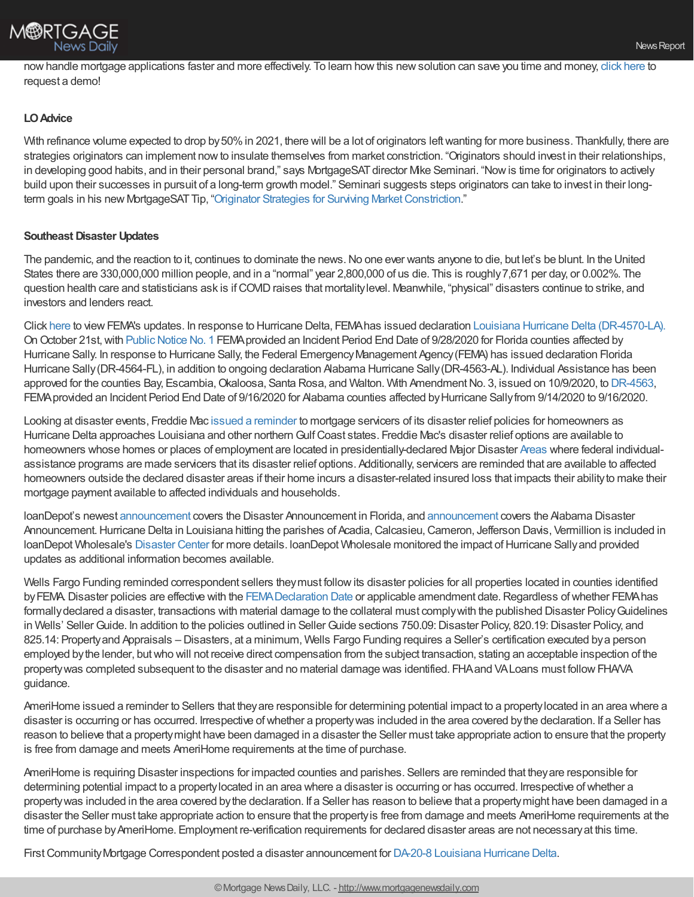

nowhandle mortgage applications faster and more effectively. To learn howthis newsolution can save you time and money, click [here](https://www2.roostify.com/l/273232/2020-10-14/b1246z) to request a demo!

# **LOAdvice**

With refinance volume expected to drop by 50% in 2021, there will be a lot of originators left wanting for more business. Thankfully, there are strategies originators can implement nowto insulate themselves from market constriction. "Originators should invest in their relationships, in developing good habits, and in their personal brand," says MortgageSAT director Mike Seminari. "Now is time for originators to actively build upon their successes in pursuit of a long-term growth model." Seminari suggests steps originators can take to invest in their longterm goals in his new MortgageSAT Tip, "Originator Strategies for Surviving Market Constriction."

# **Southeast Disaster Updates**

The pandemic, and the reaction to it, continues to dominate the news. No one ever wants anyone to die, but let's be blunt. In the United States there are 330,000,000 million people, and in a "normal" year 2,800,000 of us die. This is roughly7,671 per day, or 0.002%. The question health care and statisticians ask is ifCOVIDraises that mortalitylevel. Meanwhile, "physical" disasters continue to strike, and investors and lenders react.

Click [here](https://www.fema.gov/disaster-responses) to viewFEMA's updates. In response to Hurricane Delta, FEMAhas issued declaration Louisiana Hurricane Delta [\(DR-4570-LA\).](https://www.fema.gov/disaster/4570) On October 21st, with Public Notice No. 1 FEMA provided an Incident Period End Date of 9/28/2020 for Florida counties affected by Hurricane Sally. In response to Hurricane Sally, the Federal Emergency Management Agency (FEMA) has issued declaration Florida Hurricane Sally (DR-4564-FL), in addition to ongoing declaration Alabama Hurricane Sally (DR-4563-AL). Individual Assistance has been approved for the counties Bay, Escambia, Okaloosa, Santa Rosa, and Walton. With Amendment No. 3, issued on 10/9/2020, to [DR-4563,](https://www.fema.gov/disaster/4563) FEMAprovided an Incident Period End Date of 9/16/2020 for Alabama counties affected byHurricane Sallyfrom 9/14/2020 to 9/16/2020.

Looking at disaster events, Freddie Mac issued a [reminder](https://freddiemac.gcs-web.com/news-releases/news-release-details/freddie-mac-confirms-disaster-relief-options-homeowners) to mortgage servicers of its disaster relief policies for homeowners as Hurricane Delta approaches Louisiana and other northern Gulf Coast states. Freddie Mac's disaster relief options are available to homeowners whose homes or places of employment are located in presidentially-declared Major Disaster [Areas](https://www.fema.gov/disasters) where federal individualassistance programs are made servicers that its disaster relief options. Additionally, servicers are reminded that are available to affected homeowners outside the declared disaster areas if their home incurs a disaster-related insured loss that impacts their abilityto make their mortgage payment available to affected individuals and households.

loanDepot's newest [announcement](https://portal.ldwholesale.com/portaldocs/communication/LDW_WNTW_10_12_20.pdf) covers the Disaster Announcement in Florida, and [announcement](https://portal.ldwholesale.com/portaldocs/communication/LDW_WNTW_09_28_20.pdf) covers the Alabama Disaster Announcement. Hurricane Delta in Louisiana hitting the parishes of Acadia, Calcasieu, Cameron, Jefferson Davis, Vermillion is included in loanDepot Wholesale's [Disaster](https://portal.ldwholesale.com/Default.aspx?returnUrl=%252fportaldocs%252fyoda%252fwholesale%252findex.htm%253ftarget%253dcorp_summary) Center for more details. IoanDepot Wholesale monitored the impact of Hurricane Sally and provided updates as additional information becomes available.

Wells Fargo Funding reminded correspondent sellers theymust followits disaster policies for all properties located in counties identified by FEMA. Disaster policies are effective with the FEMA Declaration Date or applicable amendment date. Regardless of whether FEMA has formallydeclared a disaster, transactions with material damage to the collateral must complywith the published Disaster PolicyGuidelines in Wells' Seller Guide. In addition to the policies outlined in Seller Guide sections 750.09: Disaster Policy, 820.19: Disaster Policy, and 825.14: Propertyand Appraisals – Disasters, at a minimum, Wells Fargo Funding requires a Seller's certification executed bya person employed bythe lender, butwho will not receive direct compensation from the subject transaction, stating an acceptable inspection of the propertywas completed subsequent to the disaster and no material damage was identified. FHAand VALoans must followFHA/VA guidance.

AmeriHome issued a reminder to Sellers that theyare responsible for determining potential impact to a propertylocated in an area where a disaster is occurring or has occurred. Irrespective ofwhether a propertywas included in the area covered bythe declaration. If a Seller has reason to believe that a propertymight have been damaged in a disaster the Seller must take appropriate action to ensure that the property is free from damage and meets AmeriHome requirements at the time of purchase.

AmeriHome is requiring Disaster inspections for impacted counties and parishes. Sellers are reminded that theyare responsible for determining potential impact to a property located in an area where a disaster is occurring or has occurred. Irrespective of whether a propertywas included in the area covered bythe declaration. If a Seller has reason to believe that a propertymight have been damaged in a disaster the Seller must take appropriate action to ensure that the propertyis free from damage and meets AmeriHome requirements at the time of purchase by AmeriHome. Employment re-verification requirements for declared disaster areas are not necessary at this time.

First Community Mortgage Correspondent posted a disaster announcement for DA-20-8 [Louisiana](https://kc.fcmpartners.com/2020/10/disaster-announcement-da-20-8-louisiana-hurricane-delta/) Hurricane Delta.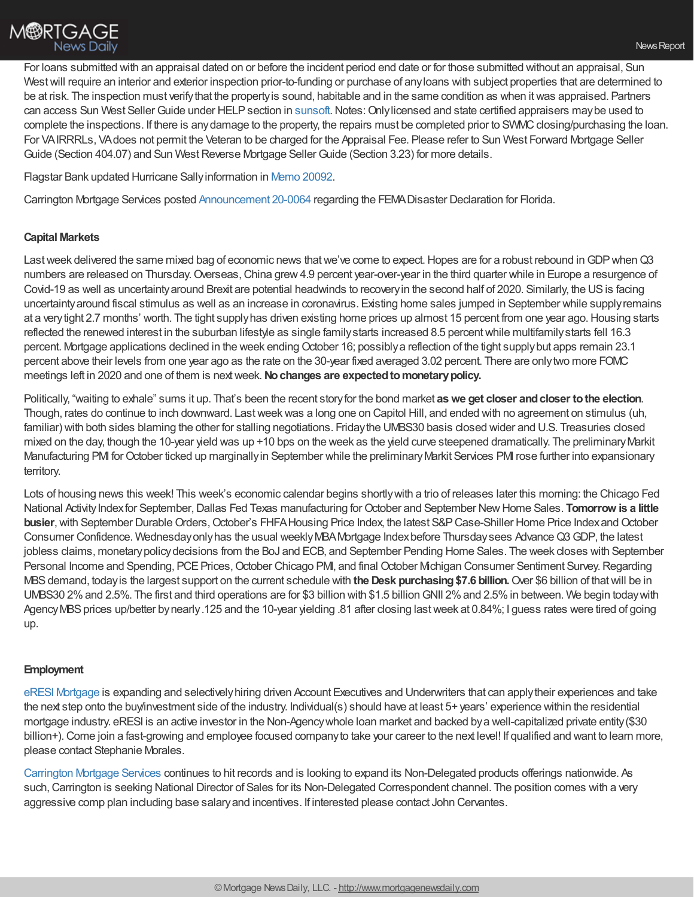

For loans submitted with an appraisal dated on or before the incident period end date or for those submitted without an appraisal, Sun West will require an interior and exterior inspection prior-to-funding or purchase of any loans with subject properties that are determined to be at risk. The inspection must verifythat the propertyis sound, habitable and in the same condition as when itwas appraised. Partners can access Sun West Seller Guide under HELP section in [sunsoft](http://trk.cp20.com/click/4gri-2bc2bt-s3yco1-i4wd1l2/). Notes: Only licensed and state certified appraisers may be used to complete the inspections. If there is any damage to the property, the repairs must be completed prior to SWMC closing/purchasing the loan. For VAIRRRLs, VAdoes not permit the Veteran to be charged for the Appraisal Fee. Please refer to Sun West Forward Mortgage Seller Guide (Section 404.07) and Sun West Reverse Mortgage Seller Guide (Section 3.23) for more details.

Flagstar Bank updated Hurricane Sallyinformation in Memo [20092](https://www.flagstar.com/content/dam/tpo/sellers-guide/announcements/20092.pdf).

Carrington Mortgage Services posted [Announcement](https://www.carringtoncorrespondent.com/announcement-20-0064-fema-disaster-declaration-for-florida/?utm_campaign=B2B%253A%20Correspondent&utm_medium=email&_hsmi=96732059&_hsenc=p2ANqtz-9Y07PLmK93W0ChNnmzyOgBBeAX9QyilousgqsqifkO6fW30ZHTBXn0ULpq9SI8oyfwNqZFdDIzU9ACs5kOHPMa_nA9wS2hKT1t4CgQQsEMJi5dZMA&utm_content=96732059&utm_source=hs_email) 20-0064 regarding the FEMADisaster Declaration for Florida.

# **Capital Markets**

Last week delivered the same mixed bag of economic news that we've come to expect. Hopes are for a robust rebound in GDP when Q3 numbers are released on Thursday.Overseas,China grew4.9 percent year-over-year in the third quarter while in Europe a resurgence of Covid-19 as well as uncertaintyaround Brexit are potential headwinds to recoveryin the second half of 2020. Similarly, the USis facing uncertaintyaround fiscal stimulus as well as an increase in coronavirus. Existing home sales jumped in September while supplyremains at a verytight 2.7 months' worth. The tight supplyhas driven existing home prices up almost 15 percent from one year ago.Housing starts reflected the renewed interest in the suburban lifestyle as single familystarts increased 8.5 percentwhile multifamilystarts fell 16.3 percent. Mortgage applications declined in the week endingOctober 16; possiblya reflection of the tight supplybut apps remain 23.1 percent above their levels from one year ago as the rate on the 30-year fixed averaged 3.02 percent. There are onlytwo more FOMC meetings left in 2020 and one of them is nextweek.**Nochanges are expectedtomonetarypolicy.**

Politically, "waiting to exhale" sums it up. That's been the recent storyfor the bond market **aswe get closer andcloser tothe election**. Though, rates do continue to inch downward. Lastweekwas a long one on Capitol Hill, and ended with no agreement on stimulus (uh, familiar) with both sides blaming the other for stalling negotiations. Fridaythe UMBS30 basis closed wider and U.S. Treasuries closed mixed on the day, though the 10-year yield was up +10 bps on the week as the yield curve steepened dramatically. The preliminary Markit Manufacturing PMI for October ticked up marginally in September while the preliminary Markit Services PMI rose further into expansionary territory.

Lots of housing news this week! This week's economic calendar begins shortlywith a trio of releases later this morning: the Chicago Fed National Activity Index for September, Dallas Fed Texas manufacturing for October and September New Home Sales. **Tomorrow is a little busier**, with September Durable Orders, October's FHFA Housing Price Index, the latest S&P Case-Shiller Home Price Index and October Consumer Confidence. Wednesday only has the usual weekly MBA Mortgage Index before Thursday sees Advance Q3 GDP, the latest jobless claims, monetarypolicydecisions from the BoJ and ECB, and September Pending Home Sales. The week closes with September Personal Income and Spending, PCE Prices, October Chicago PMI, and final October Michigan Consumer Sentiment Survey. Regarding MBSdemand, todayis the largest support on the current schedule with **the Desk purchasing\$7.6 billion.**Over \$6 billion of thatwill be in UMBS30 2%and 2.5%. The first and third operations are for \$3 billion with \$1.5 billionGNII 2%and 2.5%in between. We begin todaywith Agency MBS prices up/better by nearly.125 and the 10-year yielding .81 after closing last week at 0.84%; I guess rates were tired of going up.

#### **Employment**

eRESI [Mortgage](http://eresimortgage.com/) is expanding and selectivelyhiring driven Account Executives and Underwriters that can applytheir experiences and take the next step onto the buy/investment side of the industry. Individual(s) should have at least 5+ years' experience within the residential mortgage industry. eRESI is an active investor in the Non-Agencywhole loan market and backed bya well-capitalized private entity(\$30 billion+). Come join a fast-growing and employee focused company to take your career to the next level! If qualified and want to learn more, please contact Stephanie Morales.

[Carrington](https://www.carringtonmortgage.com/) Mortgage Services continues to hit records and is looking to expand its Non-Delegated products offerings nationwide. As such, Carrington is seeking National Director of Sales for its Non-Delegated Correspondent channel. The position comes with a very aggressive comp plan including base salaryand incentives. If interested please contact John Cervantes.